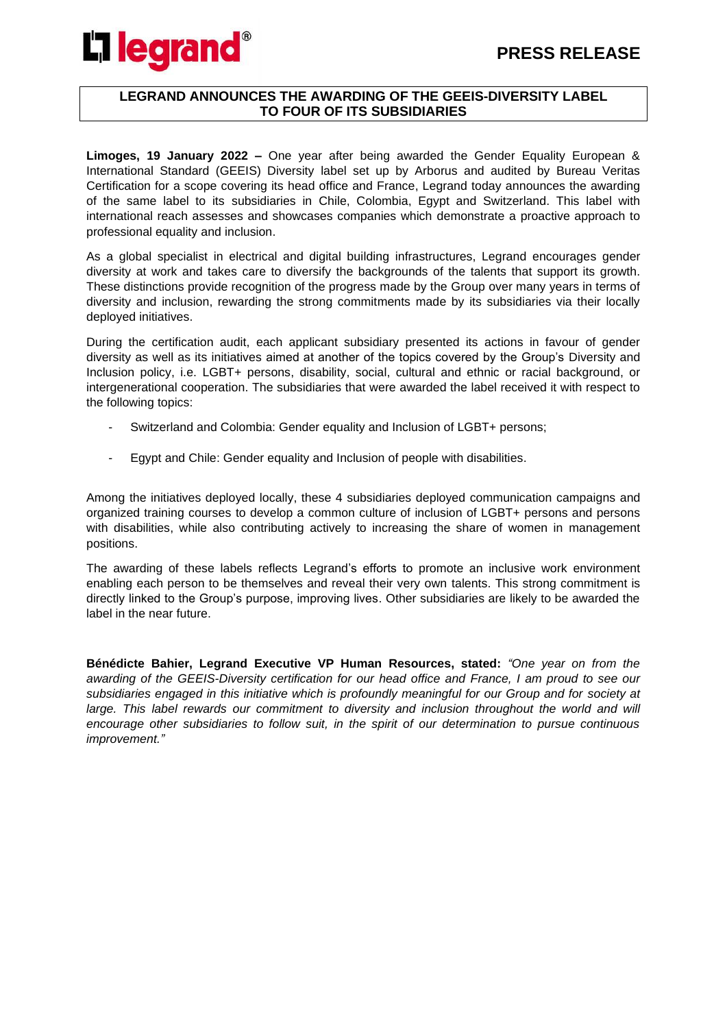

#### **LEGRAND ANNOUNCES THE AWARDING OF THE GEEIS-DIVERSITY LABEL TO FOUR OF ITS SUBSIDIARIES**

**Limoges, 19 January 2022 –** One year after being awarded the Gender Equality European & International Standard (GEEIS) Diversity label set up by Arborus and audited by Bureau Veritas Certification for a scope covering its head office and France, Legrand today announces the awarding of the same label to its subsidiaries in Chile, Colombia, Egypt and Switzerland. This label with international reach assesses and showcases companies which demonstrate a proactive approach to professional equality and inclusion.

As a global specialist in electrical and digital building infrastructures, Legrand encourages gender diversity at work and takes care to diversify the backgrounds of the talents that support its growth. These distinctions provide recognition of the progress made by the Group over many years in terms of diversity and inclusion, rewarding the strong commitments made by its subsidiaries via their locally deployed initiatives.

During the certification audit, each applicant subsidiary presented its actions in favour of gender diversity as well as its initiatives aimed at another of the topics covered by the Group's Diversity and Inclusion policy, i.e. LGBT+ persons, disability, social, cultural and ethnic or racial background, or intergenerational cooperation. The subsidiaries that were awarded the label received it with respect to the following topics:

- Switzerland and Colombia: Gender equality and Inclusion of LGBT+ persons;
- Egypt and Chile: Gender equality and Inclusion of people with disabilities.

Among the initiatives deployed locally, these 4 subsidiaries deployed communication campaigns and organized training courses to develop a common culture of inclusion of LGBT+ persons and persons with disabilities, while also contributing actively to increasing the share of women in management positions.

The awarding of these labels reflects Legrand's efforts to promote an inclusive work environment enabling each person to be themselves and reveal their very own talents. This strong commitment is directly linked to the Group's purpose, improving lives. Other subsidiaries are likely to be awarded the label in the near future.

**Bénédicte Bahier, Legrand Executive VP Human Resources, stated:** *"One year on from the awarding of the GEEIS-Diversity certification for our head office and France, I am proud to see our subsidiaries engaged in this initiative which is profoundly meaningful for our Group and for society at*  large. This label rewards our commitment to diversity and inclusion throughout the world and will *encourage other subsidiaries to follow suit, in the spirit of our determination to pursue continuous improvement."*